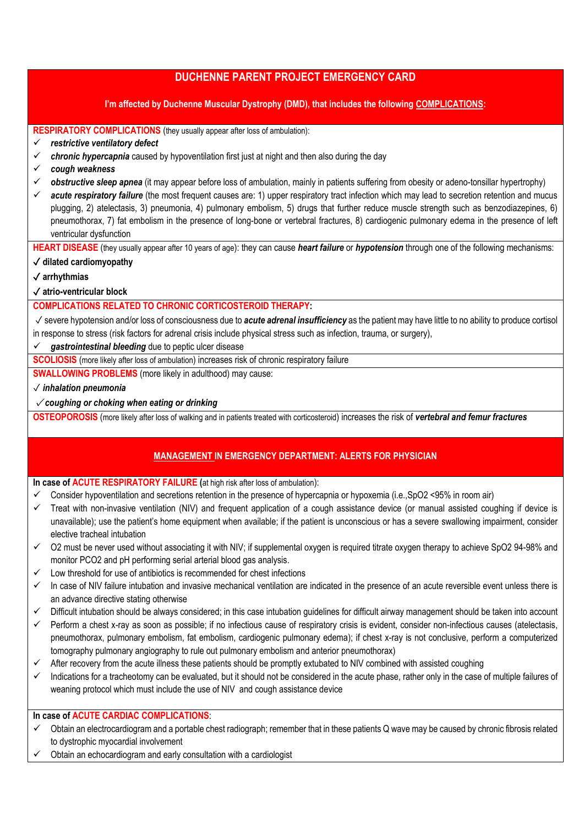# **DUCHENNE PARENT PROJECT EMERGENCY CARD**

### **I'm affected by Duchenne Muscular Dystrophy (DMD), that includes the following COMPLICATIONS:**

**RESPIRATORY COMPLICATIONS** (they usually appear after loss of ambulation):

- *restrictive ventilatory defect*
- $\checkmark$  chronic hypercapnia caused by hypoventilation first just at night and then also during the day
- *cough weakness*
- *obstructive sleep apnea* (it may appear before loss of ambulation, mainly in patients suffering from obesity or adeno-tonsillar hypertrophy)
- *acute respiratory failure* (the most frequent causes are: 1) upper respiratory tract infection which may lead to secretion retention and mucus plugging, 2) atelectasis, 3) pneumonia, 4) pulmonary embolism, 5) drugs that further reduce muscle strength such as benzodiazepines, 6) pneumothorax, 7) fat embolism in the presence of long-bone or vertebral fractures, 8) cardiogenic pulmonary edema in the presence of left ventricular dysfunction

**HEART DISEASE** (they usually appear after 10 years of age): they can cause *heart failure* or *hypotension* through one of the following mechanisms:

#### ✓ **dilated cardiomyopathy**

✓ **arrhythmias** 

✓ **atrio-ventricular block**

# **COMPLICATIONS RELATED TO CHRONIC CORTICOSTEROID THERAPY:**

✓ severe hypotension and/or loss of consciousness due to *acute adrenal insufficiency* as the patient may have little to no ability to produce cortisol in response to stress (risk factors for adrenal crisis include physical stress such as infection, trauma, or surgery),

#### *gastrointestinal bleeding* due to peptic ulcer disease

**SCOLIOSIS** (more likely after loss of ambulation) increases risk of chronic respiratory failure

**SWALLOWING PROBLEMS** (more likely in adulthood) may cause:

### ✓ *inhalation pneumonia*

### ✓ *coughing or choking when eating or drinking*

**OSTEOPOROSIS** (more likely after loss of walking and in patients treated with corticosteroid) increases the risk of *vertebral and femur fractures*

# **MANAGEMENT IN EMERGENCY DEPARTMENT: ALERTS FOR PHYSICIAN**

### **In case of ACUTE RESPIRATORY FAILURE** (at high risk after loss of ambulation):

- Consider hypoventilation and secretions retention in the presence of hypercapnia or hypoxemia (i.e.,SpO2 <95% in room air)
- $\checkmark$  Treat with non-invasive ventilation (NIV) and frequent application of a cough assistance device (or manual assisted coughing if device is unavailable); use the patient's home equipment when available; if the patient is unconscious or has a severe swallowing impairment, consider elective tracheal intubation
- $\checkmark$  O2 must be never used without associating it with NIV; if supplemental oxygen is required titrate oxygen therapy to achieve SpO2 94-98% and monitor PCO2 and pH performing serial arterial blood gas analysis.
- Low threshold for use of antibiotics is recommended for chest infections
- $\checkmark$  In case of NIV failure intubation and invasive mechanical ventilation are indicated in the presence of an acute reversible event unless there is an advance directive stating otherwise
- $\checkmark$  Difficult intubation should be always considered; in this case intubation guidelines for difficult airway management should be taken into account
- $\checkmark$  Perform a chest x-ray as soon as possible; if no infectious cause of respiratory crisis is evident, consider non-infectious causes (atelectasis, pneumothorax, pulmonary embolism, fat embolism, cardiogenic pulmonary edema); if chest x-ray is not conclusive, perform a computerized tomography pulmonary angiography to rule out pulmonary embolism and anterior pneumothorax)
- $\checkmark$  After recovery from the acute illness these patients should be promptly extubated to NIV combined with assisted coughing
- $\checkmark$  Indications for a tracheotomy can be evaluated, but it should not be considered in the acute phase, rather only in the case of multiple failures of weaning protocol which must include the use of NIV and cough assistance device

# **In case of ACUTE CARDIAC COMPLICATIONS**:

- $\checkmark$  Obtain an electrocardiogram and a portable chest radiograph; remember that in these patients Q wave may be caused by chronic fibrosis related to dystrophic myocardial involvement
- Obtain an echocardiogram and early consultation with a cardiologist